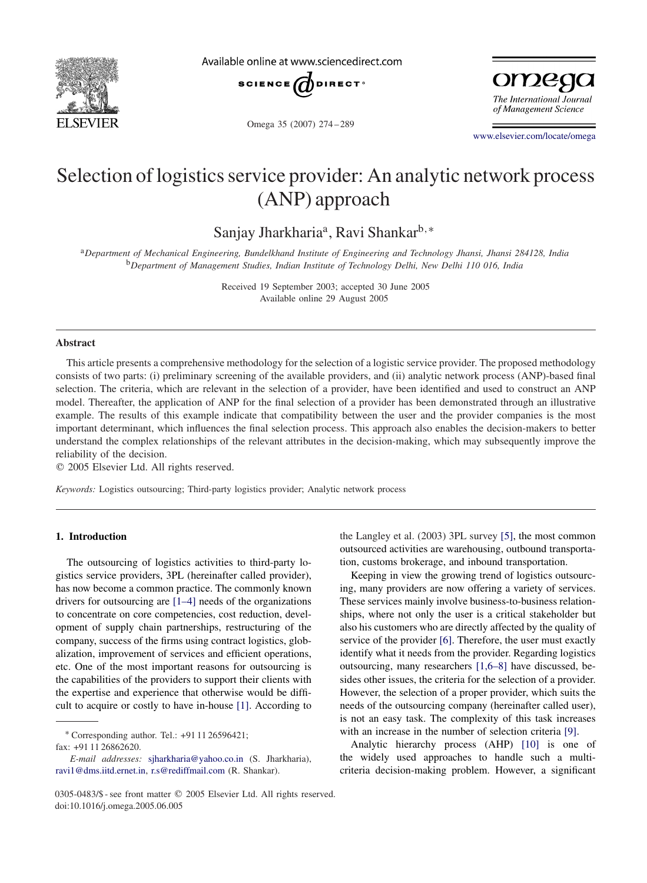

Available online at www.sciencedirect.com



Omega 35 (2007) 274 – 289

omega The International Journal of Management Science

[www.elsevier.com/locate/omega](http://www.elsevier.com/locate/omega)

## Selection of logistics service provider: An analytic network process (ANP) approach

Sanjay Jharkharia<sup>a</sup>, Ravi Shankar<sup>b,\*</sup>

<sup>a</sup>*Department of Mechanical Engineering, Bundelkhand Institute of Engineering and Technology Jhansi, Jhansi 284128, India* <sup>b</sup>*Department of Management Studies, Indian Institute of Technology Delhi, New Delhi 110 016, India*

> Received 19 September 2003; accepted 30 June 2005 Available online 29 August 2005

## **Abstract**

This article presents a comprehensive methodology for the selection of a logistic service provider. The proposed methodology consists of two parts: (i) preliminary screening of the available providers, and (ii) analytic network process (ANP)-based final selection. The criteria, which are relevant in the selection of a provider, have been identified and used to construct an ANP model. Thereafter, the application of ANP for the final selection of a provider has been demonstrated through an illustrative example. The results of this example indicate that compatibility between the user and the provider companies is the most important determinant, which influences the final selection process. This approach also enables the decision-makers to better understand the complex relationships of the relevant attributes in the decision-making, which may subsequently improve the reliability of the decision.

2005 Elsevier Ltd. All rights reserved.

*Keywords:* Logistics outsourcing; Third-party logistics provider; Analytic network process

## **1. Introduction**

The outsourcing of logistics activities to third-party logistics service providers, 3PL (hereinafter called provider), has now become a common practice. The commonly known drivers for outsourcing are [1–4] needs of the organizations to concentrate on core competencies, cost reduction, development of supply chain partnerships, restructuring of the company, success of the firms using contract logistics, globalization, improvement of services and efficient operations, etc. One of the most important reasons for outsourcing is the capabilities of the providers to support their clients with the expertise and experience that otherwise would be difficult to acquire or costly to have in-house [\[1\].](#page--1-0) According to

∗ Corresponding author. Tel.: +91 11 26596421;

fax: +91 11 26862620.

the Langley et al. (2003) 3PL survey [\[5\],](#page--1-0) the most common outsourced activities are warehousing, outbound transportation, customs brokerage, and inbound transportation.

Keeping in view the growing trend of logistics outsourcing, many providers are now offering a variety of services. These services mainly involve business-to-business relationships, where not only the user is a critical stakeholder but also his customers who are directly affected by the quality of service of the provider [\[6\].](#page--1-0) Therefore, the user must exactly identify what it needs from the provider. Regarding logistics outsourcing, many researchers [1,6–8] have discussed, besides other issues, the criteria for the selection of a provider. However, the selection of a proper provider, which suits the needs of the outsourcing company (hereinafter called user), is not an easy task. The complexity of this task increases with an increase in the number of selection criteria [\[9\].](#page--1-0)

Analytic hierarchy process (AHP) [\[10\]](#page--1-0) is one of the widely used approaches to handle such a multicriteria decision-making problem. However, a significant

*E-mail addresses:* [sjharkharia@yahoo.co.in](mailto:sjharkharia@yahoo.co.in) (S. Jharkharia), [ravi1@dms.iitd.ernet.in,](mailto:ravi1@dms.iitd.ernet.in) [r.s@rediffmail.com](mailto:r.s@rediffmail.com) (R. Shankar).

<sup>0305-0483/\$ -</sup> see front matter © 2005 Elsevier Ltd. All rights reserved. doi:10.1016/j.omega.2005.06.005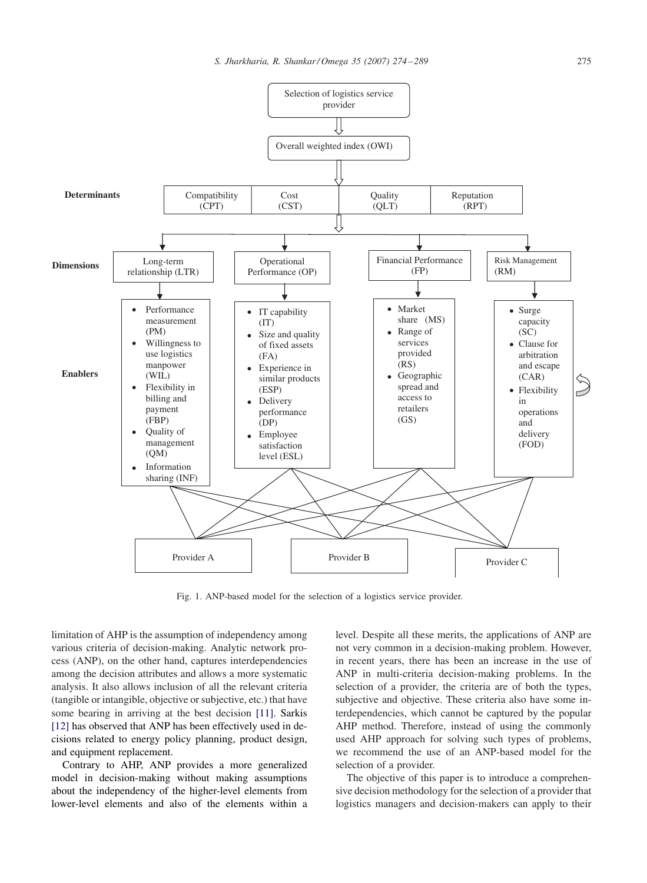

Fig. 1. ANP-based model for the selection of a logistics service provider.

limitation of AHP is the assumption of independency among various criteria of decision-making. Analytic network process (ANP), on the other hand, captures interdependencies among the decision attributes and allows a more systematic analysis. It also allows inclusion of all the relevant criteria (tangible or intangible, objective or subjective, etc.) that have some bearing in arriving at the best decision [\[11\].](#page--1-0) Sarkis [\[12\]](#page--1-0) has observed that ANP has been effectively used in decisions related to energy policy planning, product design, and equipment replacement.

Contrary to AHP, ANP provides a more generalized model in decision-making without making assumptions about the independency of the higher-level elements from lower-level elements and also of the elements within a

level. Despite all these merits, the applications of ANP are not very common in a decision-making problem. However, in recent years, there has been an increase in the use of ANP in multi-criteria decision-making problems. In the selection of a provider, the criteria are of both the types, subjective and objective. These criteria also have some interdependencies, which cannot be captured by the popular AHP method. Therefore, instead of using the commonly used AHP approach for solving such types of problems, we recommend the use of an ANP-based model for the selection of a provider.

The objective of this paper is to introduce a comprehensive decision methodology for the selection of a provider that logistics managers and decision-makers can apply to their